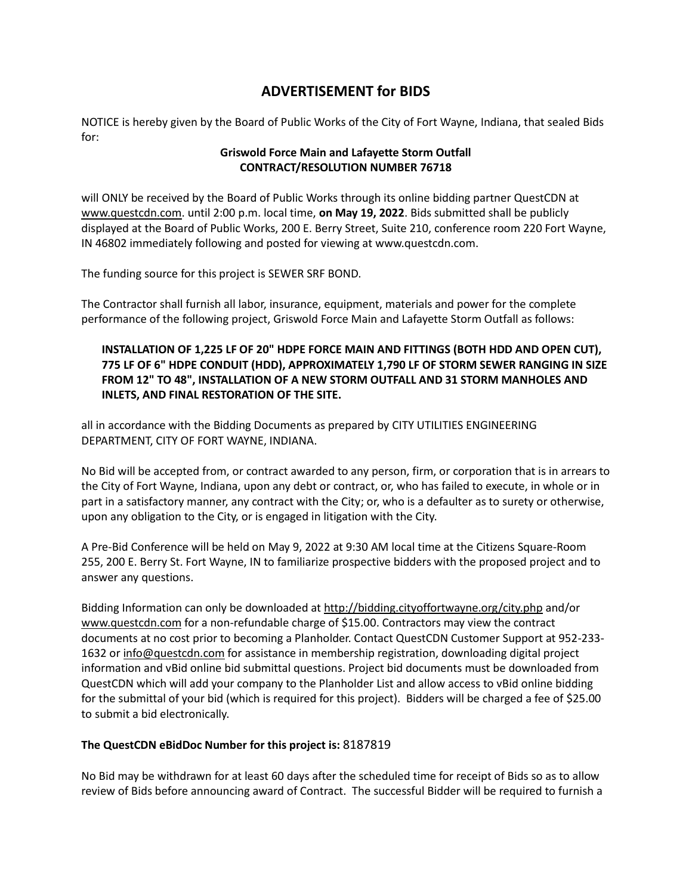## **ADVERTISEMENT for BIDS**

NOTICE is hereby given by the Board of Public Works of the City of Fort Wayne, Indiana, that sealed Bids for:

## **Griswold Force Main and Lafayette Storm Outfall CONTRACT/RESOLUTION NUMBER 76718**

will ONLY be received by the Board of Public Works through its online bidding partner QuestCDN at [www.questcdn.com.](file:///C:/Users/ARWIFB/Downloads/www.questcdn.com) until 2:00 p.m. local time, **on May 19, 2022**. Bids submitted shall be publicly displayed at the Board of Public Works, 200 E. Berry Street, Suite 210, conference room 220 Fort Wayne, IN 46802 immediately following and posted for viewing at www.questcdn.com.

The funding source for this project is SEWER SRF BOND.

The Contractor shall furnish all labor, insurance, equipment, materials and power for the complete performance of the following project, Griswold Force Main and Lafayette Storm Outfall as follows:

## **INSTALLATION OF 1,225 LF OF 20" HDPE FORCE MAIN AND FITTINGS (BOTH HDD AND OPEN CUT), 775 LF OF 6" HDPE CONDUIT (HDD), APPROXIMATELY 1,790 LF OF STORM SEWER RANGING IN SIZE FROM 12" TO 48", INSTALLATION OF A NEW STORM OUTFALL AND 31 STORM MANHOLES AND INLETS, AND FINAL RESTORATION OF THE SITE.**

all in accordance with the Bidding Documents as prepared by CITY UTILITIES ENGINEERING DEPARTMENT, CITY OF FORT WAYNE, INDIANA.

No Bid will be accepted from, or contract awarded to any person, firm, or corporation that is in arrears to the City of Fort Wayne, Indiana, upon any debt or contract, or, who has failed to execute, in whole or in part in a satisfactory manner, any contract with the City; or, who is a defaulter as to surety or otherwise, upon any obligation to the City, or is engaged in litigation with the City.

A Pre-Bid Conference will be held on May 9, 2022 at 9:30 AM local time at the Citizens Square-Room 255, 200 E. Berry St. Fort Wayne, IN to familiarize prospective bidders with the proposed project and to answer any questions.

Bidding Information can only be downloaded a[t http://bidding.cityoffortwayne.org/city.php](http://bidding.cityoffortwayne.org/city.php) and/or [www.questcdn.com](file:///C:/Users/ARWIFB/Downloads/ww.questcdn.com) for a non-refundable charge of \$15.00. Contractors may view the contract documents at no cost prior to becoming a Planholder. Contact QuestCDN Customer Support at 952-233- 1632 or [info@questcdn.com](mailto:info@questcdn.com) for assistance in membership registration, downloading digital project information and vBid online bid submittal questions. Project bid documents must be downloaded from QuestCDN which will add your company to the Planholder List and allow access to vBid online bidding for the submittal of your bid (which is required for this project). Bidders will be charged a fee of \$25.00 to submit a bid electronically.

## **The QuestCDN eBidDoc Number for this project is:** 8187819

No Bid may be withdrawn for at least 60 days after the scheduled time for receipt of Bids so as to allow review of Bids before announcing award of Contract. The successful Bidder will be required to furnish a